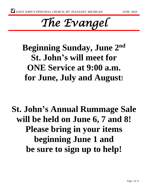# *The Evangel*

**Beginning Sunday, June 2nd St. John's will meet for ONE Service at 9:00 a.m. for June, July and August!**

**St. John's Annual Rummage Sale will be held on June 6, 7 and 8! Please bring in your items beginning June 1 and be sure to sign up to help!**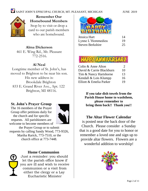

**Remember Our Homebound Members** Stop by to visit or drop a card to our parish members who are homebound.

#### **Alma Dickerson**

461 E. Wing Rd., Mt. Pleasant 772-2516.

#### **Al Neal**

Longtime member of St. John's, has moved to Brighton to be near his son. His new address is: Brookdale Brighton 833 E. Grand River Ave., Apt. 122 Brighton, MI 48116.

#### **St. John's Prayer Group**

The 16 members of the Prayer Group offer petitions daily for the church and for specific requests. All parishioners are welcome to become members of



the Prayer Group or to submit requests by calling Sandy Wood, 773-9326, Martha Rarick, 773-7510, or the church office at 773-7448.

#### **Home Communion**

Just a reminder: you should let the parish office know if you are ill and wish to receive communion or a visit from either the clergy or a Lay Eucharistic Minister



| Jessica Hart      | 14 |
|-------------------|----|
| Lynne L'Hommedieu | 19 |
| Steven Berkshire  | 25 |



| Colin & Anne Alton       | $\mathcal{L}$ |
|--------------------------|---------------|
| David & Carrie Blackburn | 10            |
| Tim & Nancy Hartshorne   | 13            |
| Kendall & Lois Klumpp    | 16            |
| Elliott & Emelia Parker  | 19            |

**If you take dish towels from the Parish House home to washthem, please remember to bring them back!! Thank you!!**

#### **The Altar Flower Calendar**

is posted near the back door of the Church. Please consider a Sunday that is a good date for you to honor or remember a loved one and sign up to provide altar flowers. Flowers are a wonderful addition to worshiip!

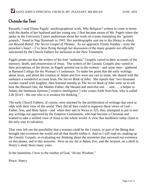### Outside the Tent

Recently I read Elaine Pagels' autobiographical work, *Why Religion?* written to come to terms with the deaths of her husband and her young son. I first became aware of Ms. Pagels when she spoke in the University Center auditorium about her work on a team translating the "gnostic gospels," found in Nag Hammadi in 1945. Her autobiography sent me to the library to check out *Beyond Belief: The Secret Gospel of Thomas*. As we approach Trinity Sunday—truly the preacher's bane!—I've been flying through her discussion of the many gospels not officially sanctioned by the Church Fathers for inclusion in the New Testament.

Pagels points out that the writers of the four "authentic" Gospels varied in their accounts of the ministry, death, and resurrection of Jesus. The writers of the Gnostic Gospels also varied in their perceptions of the divine, as Pagels pointed out to the women—and some men—gathered at Barnard College for the Women's Conference. To make her point that the early writings about Jesus, and about the creation of Adam and Eve were not cast in stone, she shared with the audience a wonderful account from *The Secret Book of John.* She reports that "two thousand women roared with laughter, then listened intently as *The Secret Book of John* went on to tell how the Blessed One, the Mother-Father, the blessed and merciful one. . . sent . . . a helper to Adam, the luminous *Epinoia* ['creative intelligence'] who comes forth from him, who is called Life [Eve]—the one who is to awaken his thinking."

The early Church Fathers, of course, were alarmed by the proliferation of writings that were at odds with their view of the world. They did all they could to suppress these views of God— Father, Son, and Holy Spirit—and when they met in Nicea in 325, they attempted to put to rest any writings not approved by the Emperor Constantine, who had become a Christian and wanted to take a unified view of Jesus to the whole world. A view that hardliners today claim is the only way to salvation.

That view left out the possibility that a woman could be the Creator, or part of the Being that brought into existence the world and all that dwells within it. And so I will read on, soaking up the Gnostic Gospels, re-evaluating my thinking about the mysteries that surround our existence on this planet, and in this universe. Next on my list is *Adam, Eve, and the Serpent*, on a shelf in Henry's study these many years.

In the meantime, I bow to the mother of God, "divine Wisdom."

Peace, Nancy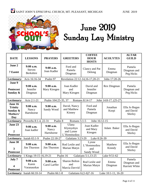

# June 2019 Sunday Lay Ministry

| <b>DATE</b>                                                                   | <b>LESSONS</b>                                 | <b>PRAYERS</b>                     | <b>GREETERS</b>                                | <b>COFFEE</b><br><b>HOUR</b><br><b>HOSTS</b>                                          | <b>ACOLYTES</b>                                     | <b>ALTAR</b><br><b>GUILD</b>            |  |
|-------------------------------------------------------------------------------|------------------------------------------------|------------------------------------|------------------------------------------------|---------------------------------------------------------------------------------------|-----------------------------------------------------|-----------------------------------------|--|
| June 2<br><b>7 Eastet</b>                                                     | 9:00 a.m.<br><b>Steven</b><br><b>Berkshire</b> | $9:00$ a.m.<br>Joan Kadler         | Ford and<br>Pamela<br>Dingman                  | Clancy and Pat<br>Delong                                                              | Emma<br>Dingman                                     | Pamela<br>Dingman and<br>Peg Hicks      |  |
| Lectionary:                                                                   | Acts 16:16-34                                  | Psalm 97                           | Revelation 22:12-14,16-17,20-21                |                                                                                       | John 17:20-26                                       |                                         |  |
| June 9<br><b>Pentecost</b><br>Sunday $\&$                                     | 9:00 a.m.<br>Jennifer<br>Dingman               | $9:00$ a.m.<br>Mary Kiesgen        | Joan Kadler<br>and<br>Mary Kiesgen             | David and<br>Rex Dingman<br>Pamela<br>Jennifer<br>Dingman and<br>Peg Hicks<br>Dingman |                                                     |                                         |  |
| Lectionary:                                                                   | Acts 2:1-21                                    | Psalm 104:25-35, 37                |                                                | Romans 8:14-17                                                                        | John 14:8-17, (25-27)                               |                                         |  |
| June 16<br><b>Trinity</b><br>Sunday &<br>Mothers'<br><b>Day</b>               | 9:00 a.m.<br>Nancy<br>Hartshorne               | 9:00 a.m.<br>Sandy Wood            | David, Nancy<br>and Matthew<br>Kinney          | Ford and<br>Pamela<br>Dingman                                                         | Jonathan<br>Korpi                                   | Ella Jo Regan<br>and David<br>Shirley   |  |
| Lectionary: Proverbs 8:1-4, 22-31<br>Psalm 8<br>Romans 5:1-5<br>John 16:12-15 |                                                |                                    |                                                |                                                                                       |                                                     |                                         |  |
| June 23<br>$\overline{2}$<br><b>Pentecost</b>                                 | $9:00$ a.m.<br>Joan kadler                     | $9:00$ a.m.<br>Nancy<br>Hartshorne | Ulana<br>Klymyshyn<br>and Lynne<br>L'Hommedieu | Joan Kadler<br>and Mary<br>Kiesgen                                                    | Ella Jo Regan<br>Adam Baker<br>and David<br>Shirley |                                         |  |
| Lectionary:                                                                   | Isaiah 65:1-9                                  | Psalm 22:18-27                     | Galatians 3:23-29                              | Luke 8:26-39                                                                          |                                                     |                                         |  |
| June 30<br>3<br><b>Pentecost</b>                                              | 9:00 a.m.<br>Jim Thurston                      | $9:00$ a.m.<br><b>Jim Thurston</b> | Rod Leslie and<br>Marian Matyn                 | Lynne<br>L'Hommedieu<br>and<br>Sandy Wood                                             | Matthew<br>Kinndy                                   | Ella Jo Regan<br>and David<br>Shirley   |  |
|                                                                               | Lectionary: 1 Kings 19:15-16,19-21             |                                    | Psalm 16                                       | Galatians 5:1,13-25                                                                   | Luke 9:51-62                                        |                                         |  |
| July 7<br>4<br><b>Pentecost</b>                                               | $9:00$ a.m.<br>Karen<br>Varanauskas            | $9:00$ a.m.<br>Carol Larffer       | <b>Sharon Bolton</b><br>and<br>Marcia Davvid   | Rod Leslie and<br>Marian Matyn                                                        | Emma<br>Dingman                                     | Pamela<br>Dingman and<br>Harriett White |  |
|                                                                               | Lectionary: Isaiah 66:10-14                    | Psalm 66:1-8                       | Galatians 6:(1-6)7-16                          |                                                                                       | Luke 10:1-11, 16-20                                 |                                         |  |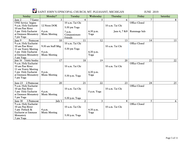| Sunday                                                                                                                       | Monday7                        | Tuesday                            | Wednesday         | Thursday        | Friday               | Saturday |
|------------------------------------------------------------------------------------------------------------------------------|--------------------------------|------------------------------------|-------------------|-----------------|----------------------|----------|
| 7 Easter<br>June 2                                                                                                           | $\overline{3}$                 | 4                                  | 5.                | 6               | 7                    | 8        |
| <b>ONE</b> Service begins<br>9 a.m. Holy Eucharist<br>10 am Pine River                                                       | 12 Noon DOK                    | 10 a.m. Tai Chi<br>5:30 pm Yoga    |                   | 10 a.m. Tai Chi | <b>Office Closed</b> |          |
| 5 pm Holy Eucharist<br>at Emmaus Monastery<br>5 pm Yoga                                                                      | 4 p.m.<br><b>Music Meeting</b> | 7 p.m.<br>Compassionate<br>Friends | 6:30 p.m.<br>Yoga | June 6, 7 & 8   | Rummage Sale         |          |
| June 9<br>Pentecost                                                                                                          | 10                             | 11                                 | 12                | 13              | 14                   | 15       |
| 9 a.m. Holy Eucharist<br>10 am Pine River<br>11 am Vestry Meeting<br>5 pm Holy Eucharist                                     | 9:30 am Staff Mtg.<br>4 p.m.   | 10 a.m. Tai Chi<br>5:30 pm Yoga    | $6:30$ p.m.       | 10 a.m. Tai Chi | <b>Office Closed</b> |          |
| at Emmaus Monastery<br>5 pm Yoga                                                                                             | <b>Music Meeting</b>           |                                    | Yoga              |                 |                      |          |
| June 16 Trinity Sunday                                                                                                       | 17                             | 18                                 | 19                | 20              | 21                   | 22       |
| 9 a.m. Holy Eucharist<br>10 am Pine River<br>11 am Vestry Meeting<br>5 pm Holy Eucharist<br>at Emmaus Monastery<br>5 pm Yoga | 4 p.m.<br><b>Music Meeting</b> | 10 a.m. Tai Chi<br>5:30 p.m. Yoga  | 6:30 p.m.<br>Yoga | 10 a.m. Tai Chi | <b>Office Closed</b> |          |
| 2 Pentecoar<br>June 23                                                                                                       | 20                             | 21                                 | 22                | 23              | 24                   | 25       |
| 9 a.m. Holy Eucharist<br>10 am Pine River<br>5 pm Holy Eucharist<br>at Emmaus Monastery<br>5 pm Yoga                         | 4 p.m.<br><b>Music Meeting</b> | 10 a.m. Tai Chi<br>5:30 p.m. Yoga  | 0 p.m. Yoga       | 10 a.m. Tai Chi | Office Closed        |          |
| June 30<br>3 Pentecost                                                                                                       | July 1                         | $\overline{2}$                     | $\overline{3}$    | $\overline{4}$  | 5                    | 6        |
| 9 a.m. Holy Eucharist<br>10 am Pine River<br>5 pm Potluck &<br>Eucharist at Emmaus<br>Monastery<br>5 pm Yoga                 | 4 p.m.<br><b>Music Meeting</b> | 10 a.m. Tai Chi<br>5:30 p.m. Yoga  | 6:30 p.m.<br>Yoga | 10 a.m. Tai Chi | <b>Office Closed</b> |          |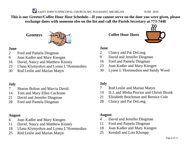**This is our Greeter/Coffee Hour Host Schedule—If you cannot serve on the date you were given, please exchange dates with someone else on the list and call the Parish Secretary at 773-7448**

**Greeters**



#### **June**

- Ford and Pamela Dingman
- Joan Kadler and Mary Kiesgen
- David, Nancy and Matthew Kinney
- Ulana Klymyshyn and Lynne L'Hommedieu
- Rod Leslie and Marian Matyn

#### **July**

- Sharon Bolton and Marcia David
- Tom and Mary Ellen Cochrane
- David and Jennifer Dingman
- Ford and Pamela Dingman

#### **August**

- Joan Kadler and Mary Kiesgen
- David, Nancy and Matthew Kinney
- Ulana Klymyshyn and Lynne L'Hommedieu
- Rod Leslie and Marian Matyn

**Coffee Hour Hosts**



#### **June**

- Clancy and Pat DeLong
- David and Jennifer Dingman
- Ford and Pamela Dingman
- Joan Kadler and Mary Kiesgen
- Lynne L'Hommedieu and Sandy Wood

#### **July**

- Rod Leslie and Marian Matyn
- D.J. and Misha Proctor and Christi Brook
- Elizabeth Brockman and Bernice Cole
- Clancy and Pat DeLong

#### **August**

- David and Jennifer Dingman
- Ford and Pamela Dingman
- Joan Kadler and Mary Kiesgen
- Kendall and Lois Klumpp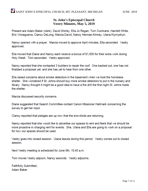#### **St. John's Episcopal Church Vestry Minutes, May 5, 2019**

Present are Adam Baker (clerk), David Shirley, Ella Jo Regan, Tom Cochrane, Harriett White, Eric Vinceguerra, Clancy DeLong, Marcia David, Nancy Herman-Kinney, Ulana Klymyshyn.

Nancy opened with a prayer. Marcia moved to approve April minutes, Ella seconded. Vestry approved.

Ella moved that Diane and Nancy each receive a bonus of \$1,000 for their extra work during Holy Week. Tom seconded. Vestry approved.

Nancy reported that she contacted 3 builders to repair the roof. One backed out, one has not finalized a proposal yet, and she has yet to hear from one other.

Ella raised concerns about smoke detectors in the basement when we host the homeless shelter. She wondered if St. Johns should buy more smoke detectors to put in the nursery and library. Nancy thought it might be a good idea to have a fire drill the first night St. Johns hosts the shelter.

Marcia discussed security concerns.

Diane suggested that Search Committee contact Canon Missioner Hallmark concerning the survey to get her input.

Clancy reported that pledges are up now that the snowbirds are returning.

Nancy reported that she would like to advertise our spaces to rent and feels that we should be more proactive in charging rent for events. She, Ulana and Ella are going to work on a proposal for how our spaces should be used.

Vestry goes into closed session. Ulana leaves during this period. Vestry comes out to closed session.

Next Vestry meeting is scheduled for June 9th, 10:45 a.m.

Tom moves Vestry adjourn, Nancy seconds. Vestry adjourns.

Faithfully Submitted, Adam Baker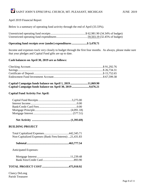#### April 2019 Financial Report

Below is a summary of operating fund activity through the end of April (33.33%).

#### **Operating fund receipts over (under) expenditures.....................\$ 3,478.71**

Income and expenses track very closely to budget through the first four months. As always, please make sure that your pledges and Capital Fund gifts are up to date.

#### **Cash balances on April 30, 2019 are as follows:**

| Capital Campaign funds balance on April 1, 2019 11,069.90 |  |
|-----------------------------------------------------------|--|
| Capital Campaign funds balance on April 30, 2019 9,676.21 |  |

#### **Capital Fund Activity For April:**

|--|--|--|--|

#### **BUILDING PROJECT**

| Non-Capitalized Expenses (Bank Fees/Interest) 21,431.83 |  |
|---------------------------------------------------------|--|

Anticipated Expenses:

#### **TOTAL PROJECT COST.....................................475,910.92**

Clancy DeLong Parish Treasurer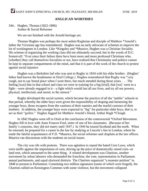#### **ANGLICAN WORTHIES**

#### 344.. Hughes, Thomas (1822-1896) Author & Social Reformer

We are not finished with the Arnold heritage yet.

Thomas Hughes was perhaps the most ardent Rugbeian and disciple of Matthew \*Arnold's father the Victorian age has remembered. Hughes was an early advocate of schemes to improve the lot of workingmen in London. Like \*Kingsley and \*Maurice, Hughes was a Christian Socialist. His scheme of organizing the working class did not ultimately succeed; but in the words of D.C. Somervell: "Ever since their failure there have been more and more professed Christians who, [whether] they call themselves Socialists or not, have realized that Christianity and politics cannot be kept in separate compartments of the mind, and that it is part of the work of the church to protest against social injustice

Hughes was a Berkshire lad who was sent to Rugby in 1834 with his elder brother. (Hughes' father had known the headmaster at Oriel College.) Hughes remembered that Rugby was "very rough, not to say brutal place when I went there, but much mended during those years. . . . The feeling [was] that in that school and class we were in training for a big [trial]; that [we] were in a fight—were already engaged in it—a fight which would last all our lives, and try all our powers, physical, intellectual, and moral, to the utmost."

Rugby developed the social system, which became the practice of all the "public" schools in that period, whereby the older boys were given the responsibility of shaping and mentoring the younger boys, those escapees from the cautions of their nannies and the tearful caresses of their mothers. In addition, the younger boys were expected to "fag" for particular older boys, that is, to act as their "gofers." Hughes fagged for Matthew Arnold's friend, Arthur Hugh \*Clough.

In 1842 Hughes went off to Oriel at the conclusion of the controversial \*Oxford Movement. Hughes fell in love with Anne Frances Ford, sister of one of his classmates. (Because of her family's concerns, they did not marry until 1847.) In 1844 he toured Scotland and the north. When he returned, he prepared for a career in the law by studying at Lincoln's Inn in London, where he made the fateful acquaintance of F.D. \*Maurice, the social reformer and chaplain at the law offices. Maurice ran discussions with the students on social issues.

The city was rife with protests. There was agitation to repeal the hated Corn Laws, which were tariffs against the importation of corn, driving up the price of domestically raised corn--or land rent, which amounted to the same thing. A related development was Chartism, another movement by urban laborers who demanded the franchise, the vote, representation in Parliament. annual parliaments, and equal electoral districts The Chartists organized "a monster petition" in 1848 to present to Parliament. Containing two million signatures (some of which were forged), the Chartists rallied on Kensington Common with some violence, but the movement collapsed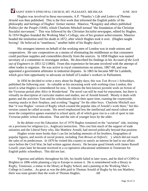Hughes was involved in these movements; A.P. \*Stanley's *Life and Letters of Thomas Arnold* was then published. This is the first work that informed the English public of the philosophy and heritage of Hughes' former mentor. Maurice, \*Kingsley and others published *Politics for the People* (1848), which Charlotte Mitchell termed "the foundation of the Christian Socialist movement." This was followed by the *Christian Socialist* newspaper, edited by Hughes. In 1854 Hughes founded the Working Man's College, one of his greatest achievements. Maurice headed the institution until his death in 1872, after which Hughes took it over. (Hughes taught boxing! He believed in "manliness," another habit of his Rugby days!)

His strongest interest on behalf of the working men of London was in trade unions and cooperatives. He saw cooperatives as a means of eliminating the middleman so that consumers could purchase supplies and comestibles directly from the sources. In 1858 Hughes was named secretary of a committee to investigate strikes. He described his findings in his *Account of the Lock out of Engineers in 1851-52* (1860). From this experience he became involved with the attempt of other trades to organize. He was active in royal commissions on unions, 1867-68, and was appointed a government arbitrator in industrial disputes. In 1865 he became MP for Lambeth, which gave him opportunity to advocate on behalf of London's workers in Parliament.

In 1856 he decided to write a story about his Rugby days; this was *Tom Brown's Schooldays*, published the following year. As valuable as his unceasing work with working-class London, this novel is what Hughes is remembered for now. It remains the best-known juvenile work on fiction of the Victorian period after *Alice in Wonderland*. The novel can still be read for enjoyment, but there is virtually no description of curricular matters and studies, nor of Arnold himself. Mostly it deals with games and the activities Tom and his schoolmates did in their spare time, roaming the countryside, roasting snacks in their fireplace, and avoiding "fagging" for the older boys. Charlotte Mitchell says that "it was Hughes' version of Rugby which created the popular idea of Arnold's work there," but this version cannot be called accurate. His novel emphasized less the intellectual and moral culture and more the competitive games essential to school spirit, all of which gave rise to a cult of sport in late Victorian public school education. That and the rule of younger boys by the older.

In the debate over the Education Act of 1870 Hughes remained on the "sectarian" side, insisting on a provision for religious (i.e., Anglican) instruction. This cost him much of the support of trade unionists and the Liberal Party who, like Matthew Arnold, had moved politically beyond that position.

Hughes wrote more books than I can list including memoirs of his brothers, biographies of popular figures, and novels of social protest, including *Tom Brown at Oxford* ( ), which did not reach the sales of its predecessor. In 1870 he visited this country to satisfy an interest he had in our affairs since before the Civil War; he had written against slavery. He became good friends with James Russell Lowell; years later he became involved in a co-operative educational settlement in Tennessee for English public schoolboys. This did not last.

Vigorous and athletic throughout his life, his health failed in later years, and he died of COPD in Brighten in 1896 while planning a trip to Europe to restore it. He is remembered with a library in Rugby, Tennessee, a statue in the library at Rugby School, and a painting at the Working Man's College in London. .As great as was the debt paid to Thomas Arnold of Rugby by his son Matthew, there was none greater than the work of Thomas Hughes. -hlf